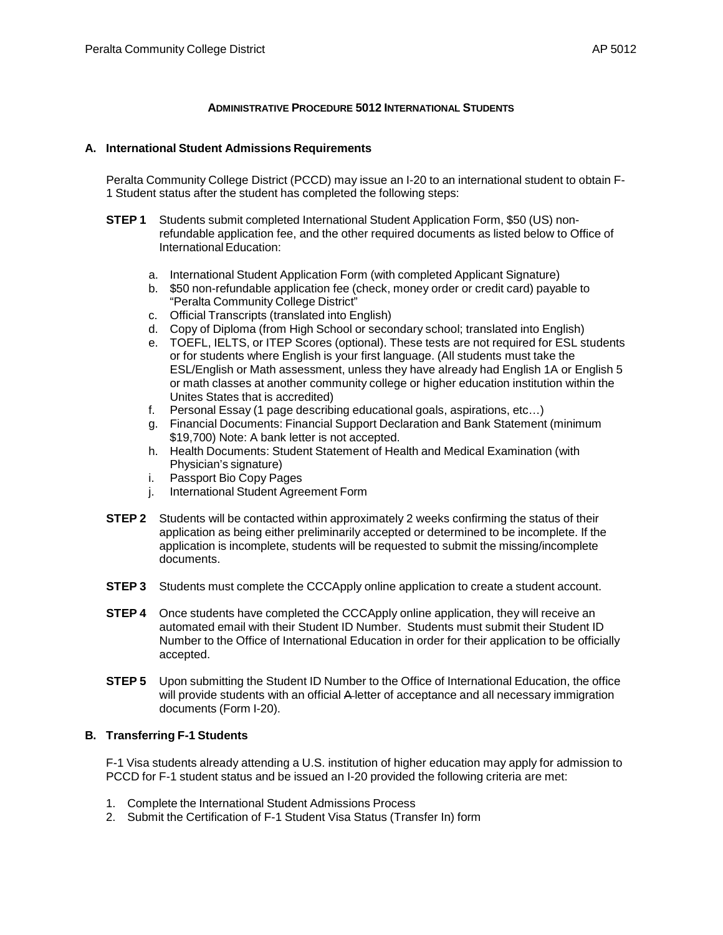### **ADMINISTRATIVE PROCEDURE 5012 INTERNATIONAL STUDENTS**

#### **A. International Student Admissions Requirements**

Peralta Community College District (PCCD) may issue an I-20 to an international student to obtain F-1 Student status after the student has completed the following steps:

- **STEP 1** Students submit completed [International](http://international.eperalta.org/wp-content/uploads/2012/07/Application-Form-updated-03-13-2012.doc) Student Application Form, \$50 (US) nonrefundable application fee, and the other required documents as listed below to Office of International Education:
	- a. [International](http://international.eperalta.org/wp-content/uploads/2012/07/Application-Form-updated-03-13-2012.doc) Student Application Form (with completed Applicant Signature)
	- b. \$50 non-refundable application fee (check, money order or credit card) payable to "Peralta Community College District"
	- c. Official Transcripts (translated into English)
	- d. Copy of Diploma (from High School or secondary school; translated into English)
	- e. [TOEFL,](http://www.ets.org/toefl/) IELTS, or ITEP Scores (optional). These tests are not required for ESL students or for students where English is your first language. (All students must take the ESL/English or Math assessment, unless they have already had English 1A or English 5 or math classes at another community college or higher education institution within the Unites States that is accredited)
	- f. Personal Essay (1 page describing educational goals, aspirations, etc…)
	- g. Financial Documents: Financial Support Declaration and Bank Statement (minimum \$19,700) Note: A bank letter is not accepted.
	- h. Health Documents: Student Statement of Health and Medical Examination (with Physician's signature)
	- i. Passport Bio Copy Pages
	- j. International Student Agreement Form
- **STEP 2** Students will be contacted within approximately 2 weeks confirming the status of their application as being either preliminarily accepted or determined to be incomplete. If the application is incomplete, students will be requested to submit the missing/incomplete documents.
- **STEP 3** Students must complete the CCCApply online application to create a student account.
- **STEP 4** Once students have completed the CCCApply online application, they will receive an automated email with their Student ID Number. Students must submit their Student ID Number to the Office of International Education in order for their application to be officially accepted.
- **STEP 5** Upon submitting the Student ID Number to the Office of International Education, the office will provide students with an official A-letter of acceptance and all necessary immigration documents (Form I-20).

### **B. Transferring F-1 Students**

F-1 Visa students already attending a U.S. institution of higher education may apply for admission to PCCD for F-1 student status and be issued an I-20 provided the following criteria are met:

- 1. Complete the International Student Admissions Process
- 2. Submit the Certification of F-1 Student Visa Status (Transfer In) form